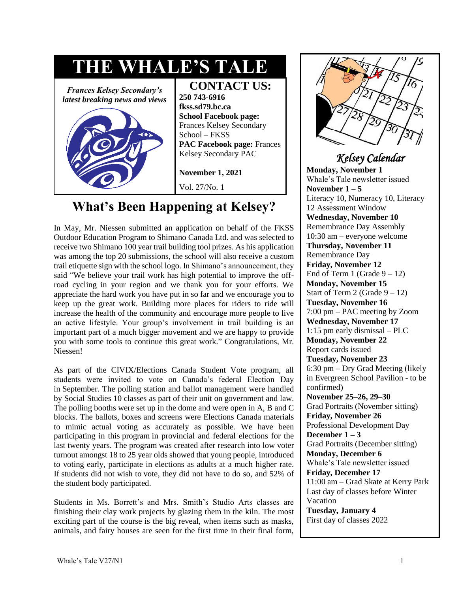

# **What's Been Happening at Kelsey?**

In May, Mr. Niessen submitted an application on behalf of the FKSS Outdoor Education Program to Shimano Canada Ltd. and was selected to receive two Shimano 100 year trail building tool prizes. As his application was among the top 20 submissions, the school will also receive a custom trail etiquette sign with the school logo. In Shimano's announcement, they said "We believe your trail work has high potential to improve the offroad cycling in your region and we thank you for your efforts. We appreciate the hard work you have put in so far and we encourage you to keep up the great work. Building more places for riders to ride will increase the health of the community and encourage more people to live an active lifestyle. Your group's involvement in trail building is an important part of a much bigger movement and we are happy to provide you with some tools to continue this great work." Congratulations, Mr. Niessen!

As part of the CIVIX/Elections Canada Student Vote program, all students were invited to vote on Canada's federal Election Day in September. The polling station and ballot management were handled by Social Studies 10 classes as part of their unit on government and law. The polling booths were set up in the dome and were open in A, B and C blocks. The ballots, boxes and screens were Elections Canada materials to mimic actual voting as accurately as possible. We have been participating in this program in provincial and federal elections for the last twenty years. The program was created after research into low voter turnout amongst 18 to 25 year olds showed that young people, introduced to voting early, participate in elections as adults at a much higher rate. If students did not wish to vote, they did not have to do so, and 52% of the student body participated.

Students in Ms. Borrett's and Mrs. Smith's Studio Arts classes are finishing their clay work projects by glazing them in the kiln. The most exciting part of the course is the big reveal, when items such as masks, animals, and fairy houses are seen for the first time in their final form,



### *Kelsey Calendar*

**Monday, November 1**  Whale's Tale newsletter issued November  $1 - 5$ Literacy 10, Numeracy 10, Literacy 12 Assessment Window **Wednesday, November 10**  Remembrance Day Assembly 10:30 am – everyone welcome **Thursday, November 11**  Remembrance Day **Friday, November 12**  End of Term 1 (Grade  $9 - 12$ ) **Monday, November 15**  Start of Term 2 (Grade  $9 - 12$ ) **Tuesday, November 16**  7:00 pm – PAC meeting by Zoom **Wednesday, November 17**  1:15 pm early dismissal – PLC **Monday, November 22**  Report cards issued **Tuesday, November 23**  6:30 pm – Dry Grad Meeting (likely in Evergreen School Pavilion - to be confirmed) **November 25–26, 29–30**  Grad Portraits (November sitting) **Friday, November 26**  Professional Development Day **December 1 – 3**  Grad Portraits (December sitting) **Monday, December 6** Whale's Tale newsletter issued **Friday, December 17**  11:00 am – Grad Skate at Kerry Park Last day of classes before Winter Vacation **Tuesday, January 4**  First day of classes 2022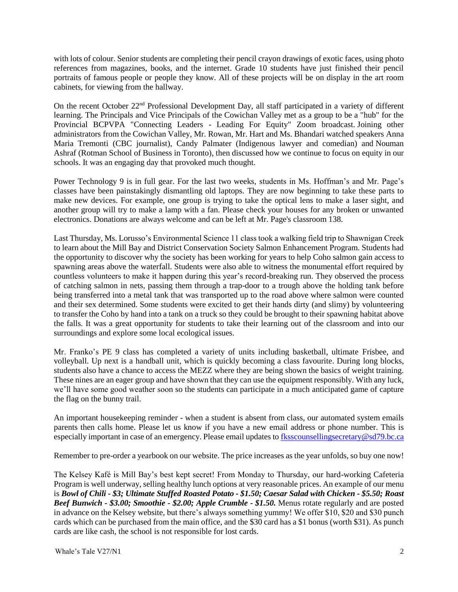with lots of colour. Senior students are completing their pencil crayon drawings of exotic faces, using photo references from magazines, books, and the internet. Grade 10 students have just finished their pencil portraits of famous people or people they know. All of these projects will be on display in the art room cabinets, for viewing from the hallway.

On the recent October 22nd Professional Development Day, all staff participated in a variety of different learning. The Principals and Vice Principals of the Cowichan Valley met as a group to be a "hub" for the Provincial BCPVPA "Connecting Leaders - Leading For Equity" Zoom broadcast. Joining other administrators from the Cowichan Valley, Mr. Rowan, Mr. Hart and Ms. Bhandari watched speakers Anna Maria Tremonti (CBC journalist), Candy Palmater (Indigenous lawyer and comedian) and [Nouman](https://twitter.com/S_Nouman_Ashraf)  [Ashraf](https://twitter.com/S_Nouman_Ashraf) (Rotman School of Business in Toronto), then discussed how we continue to focus on equity in our schools. It was an engaging day that provoked much thought.

Power Technology 9 is in full gear. For the last two weeks, students in Ms. Hoffman's and Mr. Page's classes have been painstakingly dismantling old laptops. They are now beginning to take these parts to make new devices. For example, one group is trying to take the optical lens to make a laser sight, and another group will try to make a lamp with a fan. Please check your houses for any broken or unwanted electronics. Donations are always welcome and can be left at Mr. Page's classroom 138.

Last Thursday, Ms. Lorusso's Environmental Science 11 class took a walking field trip to Shawnigan Creek to learn about the Mill Bay and District Conservation Society Salmon Enhancement Program. Students had the opportunity to discover why the society has been working for years to help Coho salmon gain access to spawning areas above the waterfall. Students were also able to witness the monumental effort required by countless volunteers to make it happen during this year's record-breaking run. They observed the process of catching salmon in nets, passing them through a trap-door to a trough above the holding tank before being transferred into a metal tank that was transported up to the road above where salmon were counted and their sex determined. Some students were excited to get their hands dirty (and slimy) by volunteering to transfer the Coho by hand into a tank on a truck so they could be brought to their spawning habitat above the falls. It was a great opportunity for students to take their learning out of the classroom and into our surroundings and explore some local ecological issues.

Mr. Franko's PE 9 class has completed a variety of units including basketball, ultimate Frisbee, and volleyball. Up next is a handball unit, which is quickly becoming a class favourite. During long blocks, students also have a chance to access the MEZZ where they are being shown the basics of weight training. These nines are an eager group and have shown that they can use the equipment responsibly. With any luck, we'll have some good weather soon so the students can participate in a much anticipated game of capture the flag on the bunny trail.

An important housekeeping reminder - when a student is absent from class, our automated system emails parents then calls home. Please let us know if you have a new email address or phone number. This is especially important in case of an emergency. Please email updates t[o fksscounsellingsecretary@sd79.bc.ca](mailto:fksscounsellingsecretary@sd79.bc.ca)

Remember to pre-order a yearbook on our website. The price increases as the year unfolds, so buy one now!

The Kelsey Kafé is Mill Bay's best kept secret! From Monday to Thursday, our hard-working Cafeteria Program is well underway, selling healthy lunch options at very reasonable prices. An example of our menu is *Bowl of Chili - \$3; Ultimate Stuffed Roasted Potato - \$1.50; Caesar Salad with Chicken - \$5.50; Roast Beef Bunwich - \$3.00; Smoothie - \$2.00; Apple Crumble - \$1.50.* Menus rotate regularly and are posted in advance on the Kelsey website, but there's always something yummy! We offer \$10, \$20 and \$30 punch cards which can be purchased from the main office, and the \$30 card has a \$1 bonus (worth \$31). As punch cards are like cash, the school is not responsible for lost cards.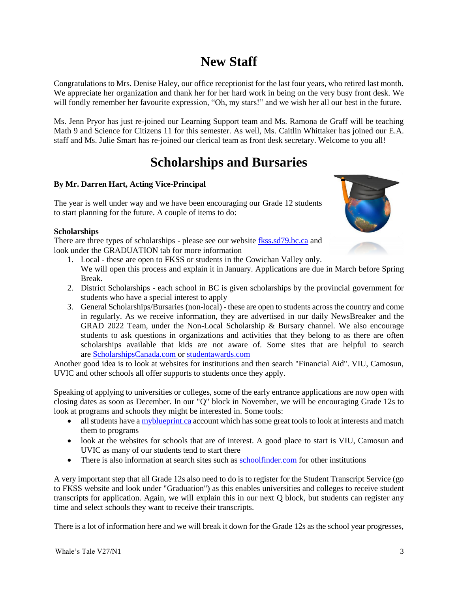# **New Staff**

Congratulations to Mrs. Denise Haley, our office receptionist for the last four years, who retired last month. We appreciate her organization and thank her for her hard work in being on the very busy front desk. We will fondly remember her favourite expression, "Oh, my stars!" and we wish her all our best in the future.

Ms. Jenn Pryor has just re-joined our Learning Support team and Ms. Ramona de Graff will be teaching Math 9 and Science for Citizens 11 for this semester. As well, Ms. Caitlin Whittaker has joined our E.A. staff and Ms. Julie Smart has re-joined our clerical team as front desk secretary. Welcome to you all!

# **Scholarships and Bursaries**

#### **By Mr. Darren Hart, Acting Vice-Principal**

The year is well under way and we have been encouraging our Grade 12 students to start planning for the future. A couple of items to do:

#### **Scholarships**

There are three types of scholarships - please see our website [fkss.sd79.bc.ca](https://fkss.sd79.bc.ca/) and look under the GRADUATION tab for more information

- 
- 1. Local these are open to FKSS or students in the Cowichan Valley only. We will open this process and explain it in January. Applications are due in March before Spring Break.
- 2. District Scholarships each school in BC is given scholarships by the provincial government for students who have a special interest to apply
- 3. General Scholarships/Bursaries (non-local) these are open to students across the country and come in regularly. As we receive information, they are advertised in our daily NewsBreaker and the GRAD 2022 Team, under the Non-Local Scholarship & Bursary channel. We also encourage students to ask questions in organizations and activities that they belong to as there are often scholarships available that kids are not aware of. Some sites that are helpful to search are [ScholarshipsCanada.com o](https://www.scholarshipscanada.com/)r [studentawards.com](https://studentawards.com/)

Another good idea is to look at websites for institutions and then search "Financial Aid". VIU, Camosun, UVIC and other schools all offer supports to students once they apply.

Speaking of applying to universities or colleges, some of the early entrance applications are now open with closing dates as soon as December. In our "Q" block in November, we will be encouraging Grade 12s to look at programs and schools they might be interested in. Some tools:

- all students have [a myblueprint.ca](https://myblueprint.ca/) account which has some great tools to look at interests and match them to programs
- look at the websites for schools that are of interest. A good place to start is VIU, Camosun and UVIC as many of our students tend to start there
- There is also information at search sites such as [schoolfinder.com](https://www.schoolfinder.com/) for other institutions

A very important step that all Grade 12s also need to do is to register for the Student Transcript Service (go to FKSS website and look under "Graduation") as this enables universities and colleges to receive student transcripts for application. Again, we will explain this in our next Q block, but students can register any time and select schools they want to receive their transcripts.

There is a lot of information here and we will break it down for the Grade 12s as the school year progresses,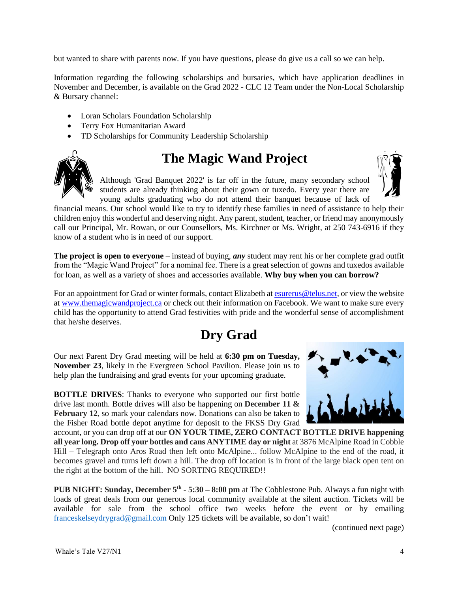but wanted to share with parents now. If you have questions, please do give us a call so we can help.

Information regarding the following scholarships and bursaries, which have application deadlines in November and December, is available on the Grad 2022 - CLC 12 Team under the Non-Local Scholarship & Bursary channel:

- Loran Scholars Foundation Scholarship
- Terry Fox Humanitarian Award
- TD Scholarships for Community Leadership Scholarship



# **The Magic Wand Project**

Although 'Grad Banquet 2022' is far off in the future, many secondary school students are already thinking about their gown or tuxedo. Every year there are young adults graduating who do not attend their banquet because of lack of

financial means. Our school would like to try to identify these families in need of assistance to help their children enjoy this wonderful and deserving night. Any parent, student, teacher, or friend may anonymously call our Principal, Mr. Rowan, or our Counsellors, Ms. Kirchner or Ms. Wright, at 250 743-6916 if they know of a student who is in need of our support.

**The project is open to everyone** – instead of buying, *any* student may rent his or her complete grad outfit from the "Magic Wand Project" for a nominal fee. There is a great selection of gowns and tuxedos available for loan, as well as a variety of shoes and accessories available. **Why buy when you can borrow?**

For an appointment for Grad or winter formals, contact Elizabeth at [esurerus@telus.net,](mailto:esurerus@telus.net) or view the website at [www.themagicwandproject.ca](http://www.themagicwandproject.ca/) or check out their information on Facebook. We want to make sure every child has the opportunity to attend Grad festivities with pride and the wonderful sense of accomplishment that he/she deserves.

# **Dry Grad**

Our next Parent Dry Grad meeting will be held at **6:30 pm on Tuesday, November 23**, likely in the Evergreen School Pavilion. Please join us to help plan the fundraising and grad events for your upcoming graduate.

**BOTTLE DRIVES**: Thanks to everyone who supported our first bottle drive last month. Bottle drives will also be happening on **December 11 & February 12**, so mark your calendars now. Donations can also be taken to the Fisher Road bottle depot anytime for deposit to the FKSS Dry Grad



account, or you can drop off at our **ON YOUR TIME, ZERO CONTACT BOTTLE DRIVE happening all year long. Drop off your bottles and cans ANYTIME day or night** at 3876 McAlpine Road in Cobble Hill – Telegraph onto Aros Road then left onto McAlpine... follow McAlpine to the end of the road, it becomes gravel and turns left down a hill. The drop off location is in front of the large black open tent on the right at the bottom of the hill. NO SORTING REQUIRED!!

**PUB NIGHT:** Sunday, December  $5<sup>th</sup> - 5:30 - 8:00$  pm at The Cobblestone Pub. Always a fun night with loads of great deals from our generous local community available at the silent auction. Tickets will be available for sale from the school office two weeks before the event or by emailing [franceskelseydrygrad@gmail.com](mailto:franceskelseydrygrad@gmail.com) Only 125 tickets will be available, so don't wait!

(continued next page)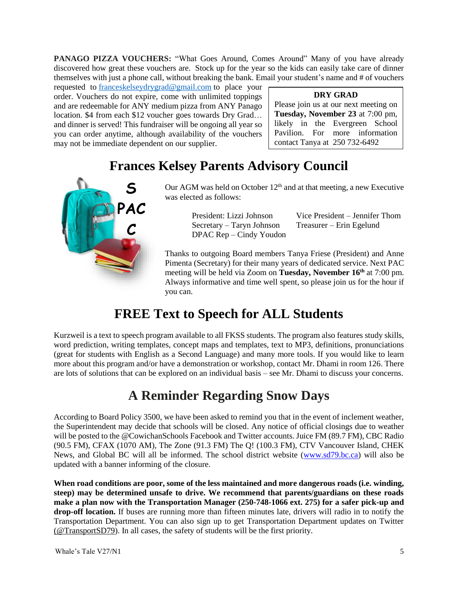**PANAGO PIZZA VOUCHERS:** "What Goes Around, Comes Around" Many of you have already discovered how great these vouchers are. Stock up for the year so the kids can easily take care of dinner themselves with just a phone call, without breaking the bank. Email your student's name and # of vouchers

requested to [franceskelseydrygrad@gmail.com](mailto:franceskelseydrygrad@gmail.com) to place your order. Vouchers do not expire, come with unlimited toppings and are redeemable for ANY medium pizza from ANY Panago location. \$4 from each \$12 voucher goes towards Dry Grad… and dinner is served! This fundraiser will be ongoing all year so you can order anytime, although availability of the vouchers may not be immediate dependent on our supplier.

**DRY GRAD**

Please join us at our next meeting on **Tuesday, November 23** at 7:00 pm, likely in the Evergreen School Pavilion. For more information contact Tanya at 250 732-6492

## **Frances Kelsey Parents Advisory Council**



Our AGM was held on October  $12<sup>th</sup>$  and at that meeting, a new Executive was elected as follows:

> Secretary – Taryn Johnson Treasurer – Erin Egelund DPAC Rep – Cindy Youdon

President: Lizzi Johnson Vice President – Jennifer Thom

Thanks to outgoing Board members Tanya Friese (President) and Anne Pimenta (Secretary) for their many years of dedicated service. Next PAC meeting will be held via Zoom on **Tuesday, November 16th** at 7:00 pm. Always informative and time well spent, so please join us for the hour if you can.

# **FREE Text to Speech for ALL Students**

Kurzweil is a text to speech program available to all FKSS students. The program also features study skills, word prediction, writing templates, concept maps and templates, text to MP3, definitions, pronunciations (great for students with English as a Second Language) and many more tools. If you would like to learn more about this program and/or have a demonstration or workshop, contact Mr. Dhami in room 126. There are lots of solutions that can be explored on an individual basis – see Mr. Dhami to discuss your concerns.

# **A Reminder Regarding Snow Days**

According to Board Policy 3500, we have been asked to remind you that in the event of inclement weather, the Superintendent may decide that schools will be closed. Any notice of official closings due to weather will be posted to the @CowichanSchools Facebook and Twitter accounts. Juice FM (89.7 FM), CBC Radio (90.5 FM), CFAX (1070 AM), The Zone (91.3 FM) The Q! (100.3 FM), CTV Vancouver Island, CHEK News, and Global BC will all be informed. The school district website [\(www.sd79.bc.ca\)](http://www.sd79.bc.ca/) will also be updated with a banner informing of the closure.

**When road conditions are poor, some of the less maintained and more dangerous roads (i.e. winding, steep) may be determined unsafe to drive. We recommend that parents/guardians on these roads make a plan now with the Transportation Manager (250-748-1066 ext. 275) for a safer pick-up and drop-off location.** If buses are running more than fifteen minutes late, drivers will radio in to notify the Transportation Department. You can also sign up to get Transportation Department updates on Twitter (@TransportSD79). In all cases, the safety of students will be the first priority.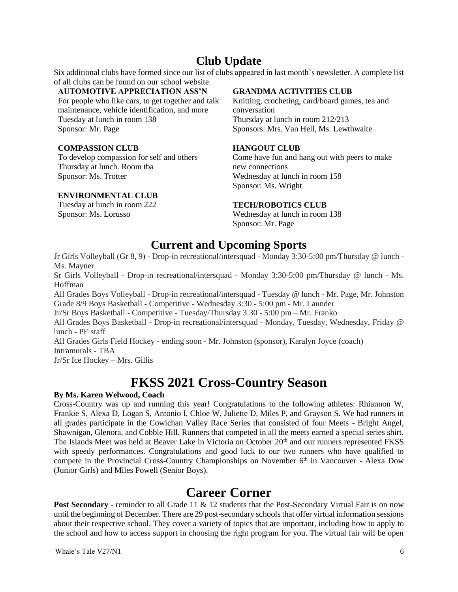### **Club Update**

Six additional clubs have formed since our list of clubs appeared in last month's newsletter. A complete list of all clubs can be found on our school website.

#### **AUTOMOTIVE APPRECIATION ASS'N**

For people who like cars, to get together and talk maintenance, vehicle identification, and more Tuesday at lunch in room 138 Sponsor: Mr. Page

#### **COMPASSION CLUB**

To develop compassion for self and others Thursday at lunch. Room tba Sponsor: Ms. Trotter

#### **ENVIRONMENTAL CLUB**

Tuesday at lunch in room 222 Sponsor: Ms. Lorusso

#### **GRANDMA ACTIVITIES CLUB**

Knitting, crocheting, card/board games, tea and conversation Thursday at lunch in room 212/213 Sponsors: Mrs. Van Hell, Ms. Lewthwaite

#### **HANGOUT CLUB**

Come have fun and hang out with peers to make new connections Wednesday at lunch in room 158 Sponsor: Ms. Wright

#### **TECH/ROBOTICS CLUB**

Wednesday at lunch in room 138 Sponsor: Mr. Page

### **Current and Upcoming Sports**

Jr Girls Volleyball (Gr 8, 9) - Drop-in recreational/intersquad - Monday 3:30-5:00 pm/Thursday @ lunch - Ms. Mayner

Sr Girls Volleyball - Drop-in recreational/intersquad - Monday 3:30-5:00 pm/Thursday @ lunch - Ms. Hoffman

All Grades Boys Volleyball - Drop-in recreational/intersquad - Tuesday @ lunch - Mr. Page, Mr. Johnston Grade 8/9 Boys Basketball - Competitive - Wednesday 3:30 - 5:00 pm - Mr. Launder

Jr/Sr Boys Basketball - Competitive - Tuesday/Thursday 3:30 - 5:00 pm – Mr. Franko

All Grades Boys Basketball - Drop-in recreational/intersquad - Monday, Tuesday, Wednesday, Friday @ lunch - PE staff

All Grades Girls Field Hockey - ending soon - Mr. Johnston (sponsor), Karalyn Joyce (coach) Intramurals - TBA

Jr/Sr Ice Hockey – Mrs. Gillis

## **FKSS 2021 Cross-Country Season**

#### **By Ms. Karen Welwood, Coach**

Cross-Country was up and running this year! Congratulations to the following athletes: Rhiannon W, Frankie S, Alexa D, Logan S, Antonio I, Chloe W, Juliette D, Miles P, and Grayson S. We had runners in all grades participate in the Cowichan Valley Race Series that consisted of four Meets - Bright Angel, Shawnigan, Glenora, and Cobble Hill. Runners that competed in all the meets earned a special series shirt. The Islands Meet was held at Beaver Lake in Victoria on October 20<sup>th</sup> and our runners represented FKSS with speedy performances. Congratulations and good luck to our two runners who have qualified to compete in the Provincial Cross-Country Championships on November 6<sup>th</sup> in Vancouver - Alexa Dow (Junior Girls) and Miles Powell (Senior Boys).

### **Career Corner**

**Post Secondary** - reminder to all Grade 11 & 12 students that the Post-Secondary Virtual Fair is on now until the beginning of December. There are 29 post-secondary schools that offer virtual information sessions about their respective school. They cover a variety of topics that are important, including how to apply to the school and how to access support in choosing the right program for you. The virtual fair will be open